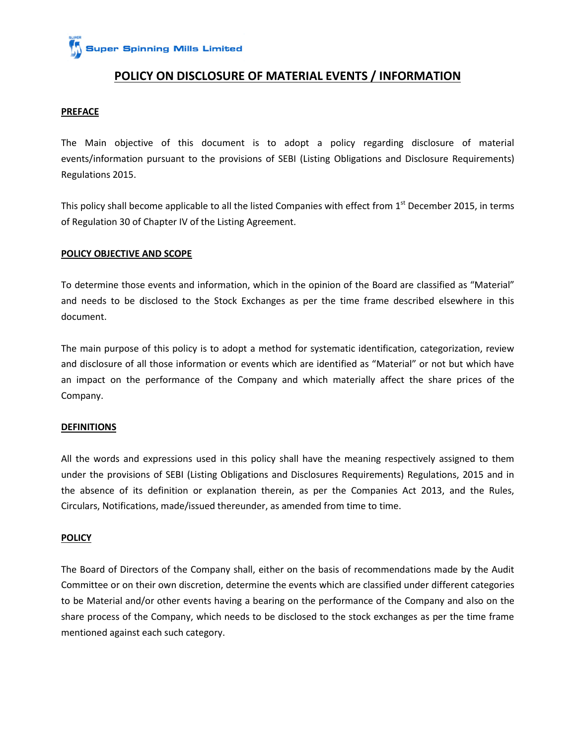**Super Spinning Mills Limited** 

## **POLICY ON DISCLOSURE OF MATERIAL EVENTS / INFORMATION**

#### **PREFACE**

The Main objective of this document is to adopt a policy regarding disclosure of material events/information pursuant to the provisions of SEBI (Listing Obligations and Disclosure Requirements) Regulations 2015.

This policy shall become applicable to all the listed Companies with effect from  $1<sup>st</sup>$  December 2015, in terms of Regulation 30 of Chapter IV of the Listing Agreement.

#### **POLICY OBJECTIVE AND SCOPE**

To determine those events and information, which in the opinion of the Board are classified as "Material" and needs to be disclosed to the Stock Exchanges as per the time frame described elsewhere in this document.

The main purpose of this policy is to adopt a method for systematic identification, categorization, review and disclosure of all those information or events which are identified as "Material" or not but which have an impact on the performance of the Company and which materially affect the share prices of the Company.

#### **DEFINITIONS**

All the words and expressions used in this policy shall have the meaning respectively assigned to them under the provisions of SEBI (Listing Obligations and Disclosures Requirements) Regulations, 2015 and in the absence of its definition or explanation therein, as per the Companies Act 2013, and the Rules, Circulars, Notifications, made/issued thereunder, as amended from time to time.

#### **POLICY**

The Board of Directors of the Company shall, either on the basis of recommendations made by the Audit Committee or on their own discretion, determine the events which are classified under different categories to be Material and/or other events having a bearing on the performance of the Company and also on the share process of the Company, which needs to be disclosed to the stock exchanges as per the time frame mentioned against each such category.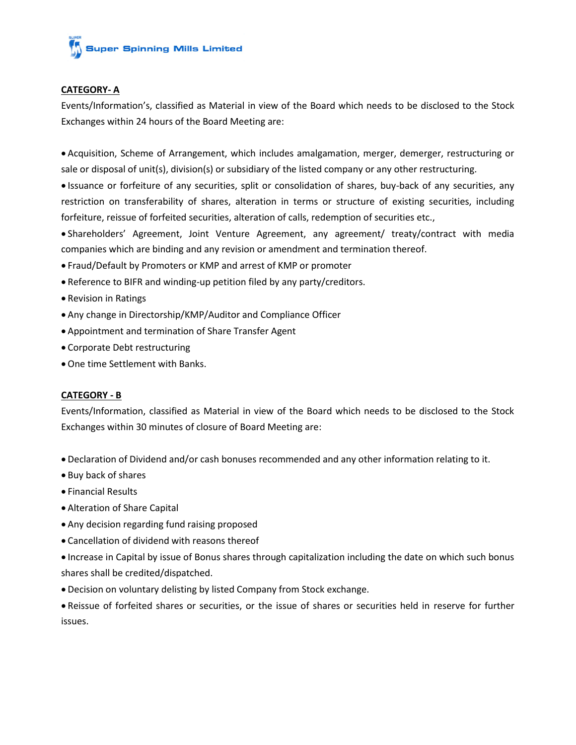# **Super Spinning Mills Limited**

## **CATEGORY- A**

Events/Information's, classified as Material in view of the Board which needs to be disclosed to the Stock Exchanges within 24 hours of the Board Meeting are:

 Acquisition, Scheme of Arrangement, which includes amalgamation, merger, demerger, restructuring or sale or disposal of unit(s), division(s) or subsidiary of the listed company or any other restructuring.

 Issuance or forfeiture of any securities, split or consolidation of shares, buy-back of any securities, any restriction on transferability of shares, alteration in terms or structure of existing securities, including forfeiture, reissue of forfeited securities, alteration of calls, redemption of securities etc.,

 Shareholders' Agreement, Joint Venture Agreement, any agreement/ treaty/contract with media companies which are binding and any revision or amendment and termination thereof.

- Fraud/Default by Promoters or KMP and arrest of KMP or promoter
- Reference to BIFR and winding-up petition filed by any party/creditors.
- Revision in Ratings
- Any change in Directorship/KMP/Auditor and Compliance Officer
- Appointment and termination of Share Transfer Agent
- Corporate Debt restructuring
- One time Settlement with Banks.

## **CATEGORY - B**

Events/Information, classified as Material in view of the Board which needs to be disclosed to the Stock Exchanges within 30 minutes of closure of Board Meeting are:

- Declaration of Dividend and/or cash bonuses recommended and any other information relating to it.
- Buy back of shares
- Financial Results
- Alteration of Share Capital
- Any decision regarding fund raising proposed
- Cancellation of dividend with reasons thereof
- Increase in Capital by issue of Bonus shares through capitalization including the date on which such bonus shares shall be credited/dispatched.
- Decision on voluntary delisting by listed Company from Stock exchange.

 Reissue of forfeited shares or securities, or the issue of shares or securities held in reserve for further issues.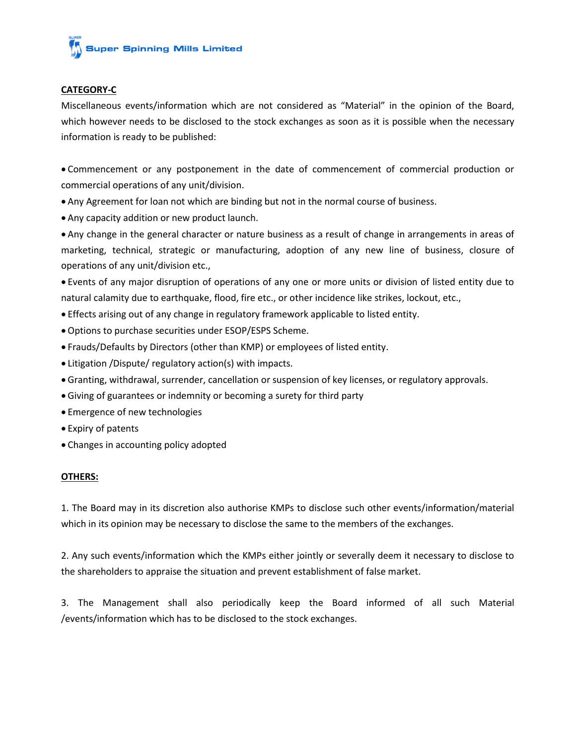## **CATEGORY-C**

Miscellaneous events/information which are not considered as "Material" in the opinion of the Board, which however needs to be disclosed to the stock exchanges as soon as it is possible when the necessary information is ready to be published:

 Commencement or any postponement in the date of commencement of commercial production or commercial operations of any unit/division.

- Any Agreement for loan not which are binding but not in the normal course of business.
- Any capacity addition or new product launch.

 Any change in the general character or nature business as a result of change in arrangements in areas of marketing, technical, strategic or manufacturing, adoption of any new line of business, closure of operations of any unit/division etc.,

 Events of any major disruption of operations of any one or more units or division of listed entity due to natural calamity due to earthquake, flood, fire etc., or other incidence like strikes, lockout, etc.,

- Effects arising out of any change in regulatory framework applicable to listed entity.
- Options to purchase securities under ESOP/ESPS Scheme.
- Frauds/Defaults by Directors (other than KMP) or employees of listed entity.
- Litigation /Dispute/ regulatory action(s) with impacts.
- Granting, withdrawal, surrender, cancellation or suspension of key licenses, or regulatory approvals.
- Giving of guarantees or indemnity or becoming a surety for third party
- Emergence of new technologies
- Expiry of patents
- Changes in accounting policy adopted

## **OTHERS:**

1. The Board may in its discretion also authorise KMPs to disclose such other events/information/material which in its opinion may be necessary to disclose the same to the members of the exchanges.

2. Any such events/information which the KMPs either jointly or severally deem it necessary to disclose to the shareholders to appraise the situation and prevent establishment of false market.

3. The Management shall also periodically keep the Board informed of all such Material /events/information which has to be disclosed to the stock exchanges.